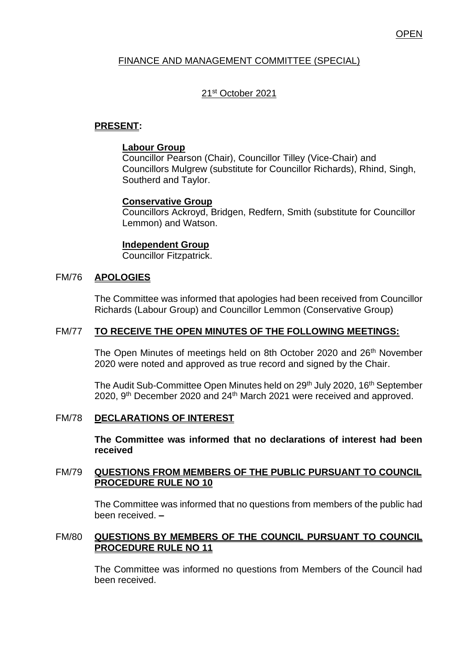# FINANCE AND MANAGEMENT COMMITTEE (SPECIAL)

# 21st October 2021

# **PRESENT:**

## **Labour Group**

Councillor Pearson (Chair), Councillor Tilley (Vice-Chair) and Councillors Mulgrew (substitute for Councillor Richards), Rhind, Singh, Southerd and Taylor.

# **Conservative Group**

Councillors Ackroyd, Bridgen, Redfern, Smith (substitute for Councillor Lemmon) and Watson.

### **Independent Group**

Councillor Fitzpatrick.

## FM/76 **APOLOGIES**

The Committee was informed that apologies had been received from Councillor Richards (Labour Group) and Councillor Lemmon (Conservative Group)

## FM/77 **TO RECEIVE THE OPEN MINUTES OF THE FOLLOWING MEETINGS:**

The Open Minutes of meetings held on 8th October 2020 and 26<sup>th</sup> November 2020 were noted and approved as true record and signed by the Chair.

The Audit Sub-Committee Open Minutes held on 29<sup>th</sup> July 2020, 16<sup>th</sup> September 2020, 9<sup>th</sup> December 2020 and 24<sup>th</sup> March 2021 were received and approved.

## FM/78 **DECLARATIONS OF INTEREST**

**The Committee was informed that no declarations of interest had been received**

## FM/79 **QUESTIONS FROM MEMBERS OF THE PUBLIC PURSUANT TO COUNCIL PROCEDURE RULE NO 10**

The Committee was informed that no questions from members of the public had been received. **–**

## FM/80 **QUESTIONS BY MEMBERS OF THE COUNCIL PURSUANT TO COUNCIL PROCEDURE RULE NO 11**

The Committee was informed no questions from Members of the Council had been received.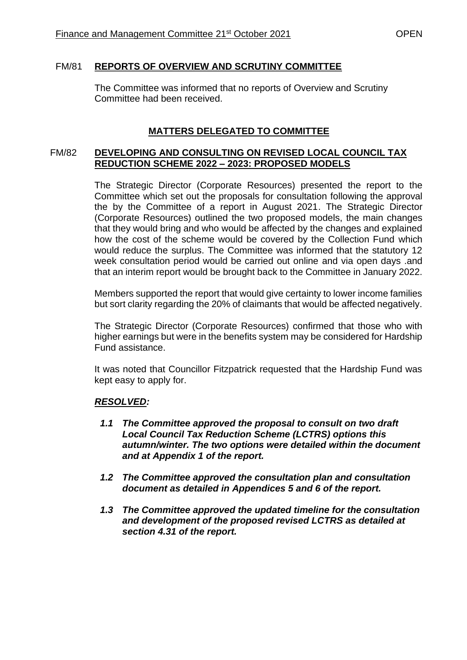## FM/81 **REPORTS OF OVERVIEW AND SCRUTINY COMMITTEE**

The Committee was informed that no reports of Overview and Scrutiny Committee had been received.

# **MATTERS DELEGATED TO COMMITTEE**

### FM/82 **DEVELOPING AND CONSULTING ON REVISED LOCAL COUNCIL TAX REDUCTION SCHEME 2022 – 2023: PROPOSED MODELS**

The Strategic Director (Corporate Resources) presented the report to the Committee which set out the proposals for consultation following the approval the by the Committee of a report in August 2021. The Strategic Director (Corporate Resources) outlined the two proposed models, the main changes that they would bring and who would be affected by the changes and explained how the cost of the scheme would be covered by the Collection Fund which would reduce the surplus. The Committee was informed that the statutory 12 week consultation period would be carried out online and via open days .and that an interim report would be brought back to the Committee in January 2022.

Members supported the report that would give certainty to lower income families but sort clarity regarding the 20% of claimants that would be affected negatively.

The Strategic Director (Corporate Resources) confirmed that those who with higher earnings but were in the benefits system may be considered for Hardship Fund assistance.

It was noted that Councillor Fitzpatrick requested that the Hardship Fund was kept easy to apply for.

## *RESOLVED:*

- *1.1 The Committee approved the proposal to consult on two draft Local Council Tax Reduction Scheme (LCTRS) options this autumn/winter. The two options were detailed within the document and at Appendix 1 of the report.*
- *1.2 The Committee approved the consultation plan and consultation document as detailed in Appendices 5 and 6 of the report.*
- *1.3 The Committee approved the updated timeline for the consultation and development of the proposed revised LCTRS as detailed at section 4.31 of the report.*